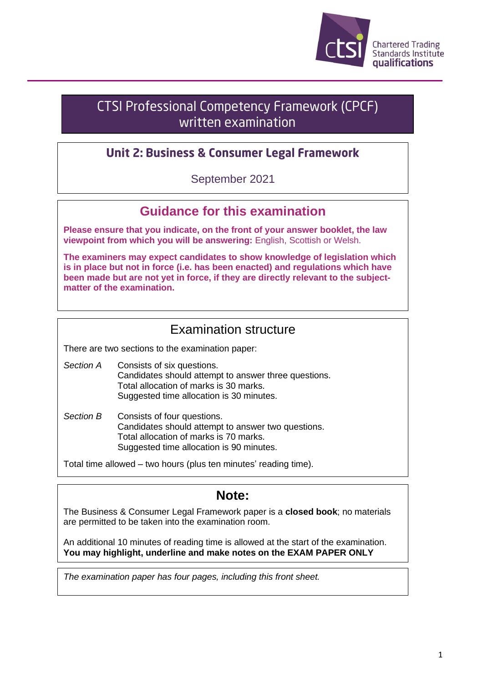

# **CTSI Professional Competency Framework (CPCF)** written examination

## **Unit 2: Business & Consumer Legal Framework**

September 2021

# **Guidance for this examination**

**Please ensure that you indicate, on the front of your answer booklet, the law viewpoint from which you will be answering:** English, Scottish or Welsh.

**The examiners may expect candidates to show knowledge of legislation which is in place but not in force (i.e. has been enacted) and regulations which have been made but are not yet in force, if they are directly relevant to the subjectmatter of the examination.**

## Examination structure

There are two sections to the examination paper:

- *Section A* Consists of six questions. Candidates should attempt to answer three questions. Total allocation of marks is 30 marks. Suggested time allocation is 30 minutes.
- *Section B* Consists of four questions. Candidates should attempt to answer two questions. Total allocation of marks is 70 marks. Suggested time allocation is 90 minutes.

Total time allowed – two hours (plus ten minutes' reading time).

## **Note:**

The Business & Consumer Legal Framework paper is a **closed book**; no materials are permitted to be taken into the examination room.

An additional 10 minutes of reading time is allowed at the start of the examination. **You may highlight, underline and make notes on the EXAM PAPER ONLY**

*The examination paper has four pages, including this front sheet.*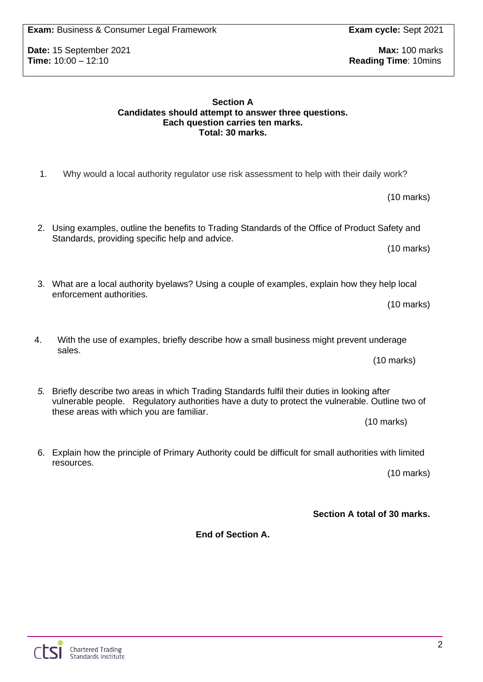**Section A Candidates should attempt to answer three questions. Each question carries ten marks.**

Standards, providing specific help and advice.

enforcement authorities.

**Total: 30 marks.**

1. Why would a local authority regulator use risk assessment to help with their daily work?

3. What are a local authority byelaws? Using a couple of examples, explain how they help local

2. Using examples, outline the benefits to Trading Standards of the Office of Product Safety and

4. With the use of examples, briefly describe how a small business might prevent underage sales.

- *5.* Briefly describe two areas in which Trading Standards fulfil their duties in looking after vulnerable people. Regulatory authorities have a duty to protect the vulnerable. Outline two of these areas with which you are familiar.
- 6. Explain how the principle of Primary Authority could be difficult for small authorities with limited resources.

(10 marks)

**Section A total of 30 marks.**

**End of Section A.**

**Date:** 15 September 2021 **Max:** 100 marks<br> **Time:** 10:00 – 12:10 **Max:** 100 marks **Reading Time: 10mins** 

(10 marks)

(10 marks)

(10 marks)

(10 marks)

(10 marks)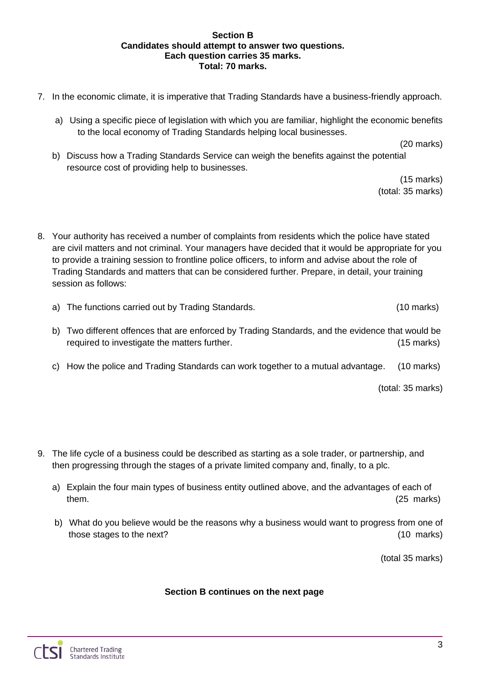#### **Section B Candidates should attempt to answer two questions. Each question carries 35 marks. Total: 70 marks.**

- 7. In the economic climate, it is imperative that Trading Standards have a business-friendly approach.
	- a) Using a specific piece of legislation with which you are familiar, highlight the economic benefits to the local economy of Trading Standards helping local businesses.

(20 marks)

b) Discuss how a Trading Standards Service can weigh the benefits against the potential resource cost of providing help to businesses.

> (15 marks) (total: 35 marks)

8. Your authority has received a number of complaints from residents which the police have stated are civil matters and not criminal. Your managers have decided that it would be appropriate for you to provide a training session to frontline police officers, to inform and advise about the role of Trading Standards and matters that can be considered further. Prepare, in detail, your training session as follows:

- a) The functions carried out by Trading Standards. (10 marks)
- b) Two different offences that are enforced by Trading Standards, and the evidence that would be required to investigate the matters further. (15 marks)
- c) How the police and Trading Standards can work together to a mutual advantage. (10 marks)

(total: 35 marks)

- 9. The life cycle of a business could be described as starting as a sole trader, or partnership, and then progressing through the stages of a private limited company and, finally, to a plc.
	- a) Explain the four main types of business entity outlined above, and the advantages of each of them. (25 marks) (25 marks)
	- b) What do you believe would be the reasons why a business would want to progress from one of those stages to the next? (10 marks)

(total 35 marks)

#### **Section B continues on the next page**